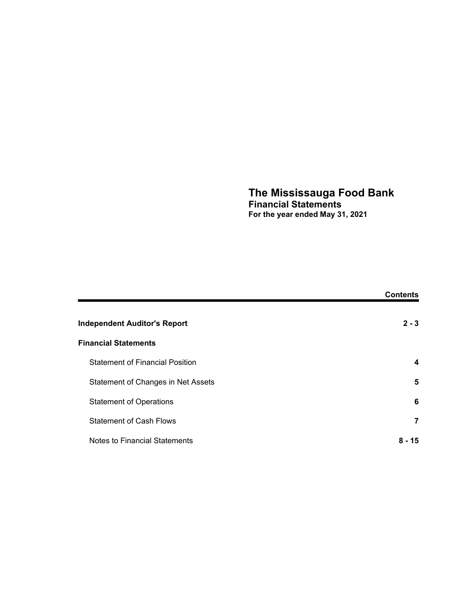## The Mississauga Food Bank Financial Statements<br>For the year ended May 31, 2021

|                                        | <b>Contents</b> |
|----------------------------------------|-----------------|
| <b>Independent Auditor's Report</b>    | $2 - 3$         |
| <b>Financial Statements</b>            |                 |
| <b>Statement of Financial Position</b> | 4               |
| Statement of Changes in Net Assets     | 5               |
| <b>Statement of Operations</b>         | 6               |
| <b>Statement of Cash Flows</b>         | 7               |
| Notes to Financial Statements          | $8 - 15$        |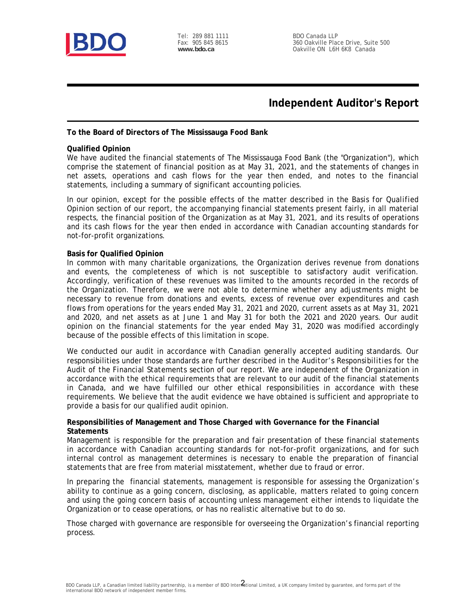

Tel: 289 881 1111 Fax: 905 845 8615 www.bdo.ca

BDO Canada LLP 360 Oakville Place Drive, Suite 500 Oakville ON L6H 6K8 Canada

## **Independent Auditor's Report**

#### To the Board of Directors of The Mississauga Food Bank

#### **Qualified Opinion**

We have audited the financial statements of The Mississauga Food Bank (the "Organization"), which comprise the statement of financial position as at May 31, 2021, and the statements of changes in net assets, operations and cash flows for the year then ended, and notes to the financial statements, including a summary of significant accounting policies.

In our opinion, except for the possible effects of the matter described in the Basis for Qualified Opinion section of our report, the accompanying financial statements present fairly, in all material respects, the financial position of the Organization as at May 31, 2021, and its results of operations and its cash flows for the year then ended in accordance with Canadian accounting standards for not-for-profit organizations.

#### **Basis for Qualified Opinion**

In common with many charitable organizations, the Organization derives revenue from donations and events, the completeness of which is not susceptible to satisfactory audit verification. Accordingly, verification of these revenues was limited to the amounts recorded in the records of the Organization. Therefore, we were not able to determine whether any adjustments might be necessary to revenue from donations and events, excess of revenue over expenditures and cash flows from operations for the years ended May 31, 2021 and 2020, current assets as at May 31, 2021 and 2020, and net assets as at June 1 and May 31 for both the 2021 and 2020 years. Our audit opinion on the financial statements for the year ended May 31, 2020 was modified accordingly because of the possible effects of this limitation in scope.

We conducted our audit in accordance with Canadian generally accepted auditing standards. Our responsibilities under those standards are further described in the Auditor's Responsibilities for the Audit of the Financial Statements section of our report. We are independent of the Organization in accordance with the ethical requirements that are relevant to our audit of the financial statements in Canada, and we have fulfilled our other ethical responsibilities in accordance with these requirements. We believe that the audit evidence we have obtained is sufficient and appropriate to provide a basis for our qualified audit opinion.

#### Responsibilities of Management and Those Charged with Governance for the Financial **Statements**

Management is responsible for the preparation and fair presentation of these financial statements in accordance with Canadian accounting standards for not-for-profit organizations, and for such internal control as management determines is necessary to enable the preparation of financial statements that are free from material misstatement, whether due to fraud or error.

In preparing the financial statements, management is responsible for assessing the Organization's ability to continue as a going concern, disclosing, as applicable, matters related to going concern and using the going concern basis of accounting unless management either intends to liquidate the Organization or to cease operations, or has no realistic alternative but to do so.

Those charged with governance are responsible for overseeing the Organization's financial reporting process.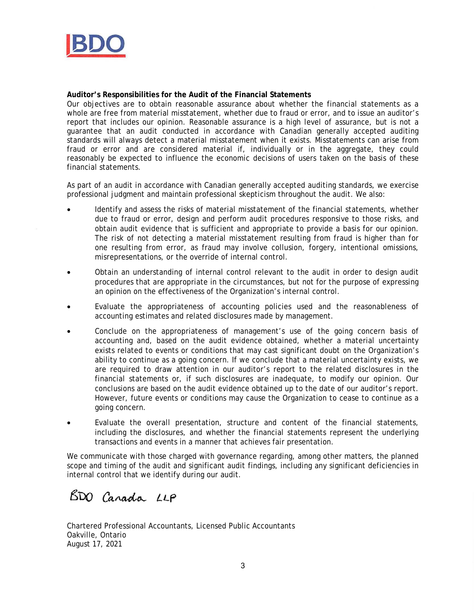

#### Auditor's Responsibilities for the Audit of the Financial Statements

Our objectives are to obtain reasonable assurance about whether the financial statements as a whole are free from material misstatement, whether due to fraud or error, and to issue an auditor's report that includes our opinion. Reasonable assurance is a high level of assurance, but is not a quarantee that an audit conducted in accordance with Canadian generally accepted auditing standards will always detect a material misstatement when it exists. Misstatements can arise from fraud or error and are considered material if, individually or in the aggregate, they could reasonably be expected to influence the economic decisions of users taken on the basis of these financial statements.

As part of an audit in accordance with Canadian generally accepted auditing standards, we exercise professional judgment and maintain professional skepticism throughout the audit. We also:

- Identify and assess the risks of material misstatement of the financial statements, whether due to fraud or error, design and perform audit procedures responsive to those risks, and obtain audit evidence that is sufficient and appropriate to provide a basis for our opinion. The risk of not detecting a material misstatement resulting from fraud is higher than for one resulting from error, as fraud may involve collusion, forgery, intentional omissions, misrepresentations, or the override of internal control.
- Obtain an understanding of internal control relevant to the audit in order to design audit procedures that are appropriate in the circumstances, but not for the purpose of expressing an opinion on the effectiveness of the Organization's internal control.
- Evaluate the appropriateness of accounting policies used and the reasonableness of accounting estimates and related disclosures made by management.
- Conclude on the appropriateness of management's use of the going concern basis of  $\bullet$ accounting and, based on the audit evidence obtained, whether a material uncertainty exists related to events or conditions that may cast significant doubt on the Organization's ability to continue as a going concern. If we conclude that a material uncertainty exists, we are required to draw attention in our auditor's report to the related disclosures in the financial statements or, if such disclosures are inadequate, to modify our opinion. Our conclusions are based on the audit evidence obtained up to the date of our auditor's report. However, future events or conditions may cause the Organization to cease to continue as a going concern.
- Evaluate the overall presentation, structure and content of the financial statements,  $\bullet$ including the disclosures, and whether the financial statements represent the underlying transactions and events in a manner that achieves fair presentation.

We communicate with those charged with governance regarding, among other matters, the planned scope and timing of the audit and significant audit findings, including any significant deficiencies in internal control that we identify during our audit.

BDO Carada LLP

Chartered Professional Accountants, Licensed Public Accountants Oakville, Ontario August 17, 2021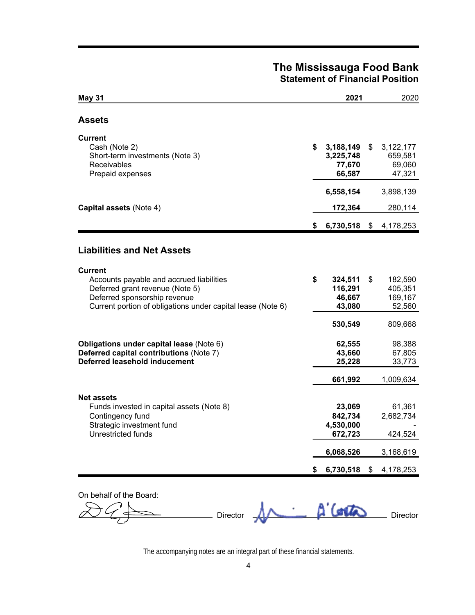# The Mississauga Food Bank<br>Statement of Financial Position

| <b>May 31</b>                                                                                                                                                                                |    | 2021                                       | 2020                                           |
|----------------------------------------------------------------------------------------------------------------------------------------------------------------------------------------------|----|--------------------------------------------|------------------------------------------------|
| <b>Assets</b>                                                                                                                                                                                |    |                                            |                                                |
| <b>Current</b><br>Cash (Note 2)<br>Short-term investments (Note 3)<br>Receivables<br>Prepaid expenses                                                                                        | \$ | 3,188,149<br>3,225,748<br>77,670<br>66,587 | \$<br>3,122,177<br>659,581<br>69,060<br>47,321 |
|                                                                                                                                                                                              |    | 6,558,154                                  | 3,898,139                                      |
| Capital assets (Note 4)                                                                                                                                                                      |    | 172,364                                    | 280,114                                        |
|                                                                                                                                                                                              | \$ | 6,730,518                                  | \$<br>4,178,253                                |
| <b>Liabilities and Net Assets</b>                                                                                                                                                            |    |                                            |                                                |
| <b>Current</b><br>Accounts payable and accrued liabilities<br>Deferred grant revenue (Note 5)<br>Deferred sponsorship revenue<br>Current portion of obligations under capital lease (Note 6) | \$ | 324,511<br>116,291<br>46,667<br>43,080     | \$<br>182,590<br>405,351<br>169,167<br>52,560  |
| Obligations under capital lease (Note 6)<br>Deferred capital contributions (Note 7)<br>Deferred leasehold inducement                                                                         |    | 530,549<br>62,555<br>43,660<br>25,228      | 809,668<br>98,388<br>67,805<br>33,773          |
|                                                                                                                                                                                              |    | 661,992                                    | 1,009,634                                      |
| <b>Net assets</b><br>Funds invested in capital assets (Note 8)<br>Contingency fund<br>Strategic investment fund<br>Unrestricted funds                                                        |    | 23,069<br>842,734<br>4,530,000<br>672,723  | 61,361<br>2,682,734<br>424,524                 |
|                                                                                                                                                                                              |    | 6,068,526                                  | 3,168,619                                      |
|                                                                                                                                                                                              | S  | 6,730,518                                  | \$<br>4,178,253                                |
| On behalf of the Board:<br>Director                                                                                                                                                          |    |                                            | <b>Director</b>                                |

The accompanying notes are an integral part of these financial statements.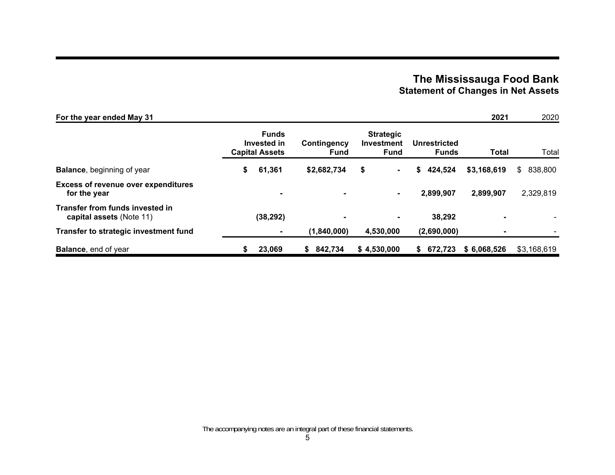# The Mississauga Food Bank<br>Statement of Changes in Net Assets

| For the year ended May 31                                   |                                                      |                            |                                                      |                                     | 2021        | 2020          |
|-------------------------------------------------------------|------------------------------------------------------|----------------------------|------------------------------------------------------|-------------------------------------|-------------|---------------|
|                                                             | <b>Funds</b><br>Invested in<br><b>Capital Assets</b> | Contingency<br><b>Fund</b> | <b>Strategic</b><br><b>Investment</b><br><b>Fund</b> | <b>Unrestricted</b><br><b>Funds</b> | Total       | Total         |
| <b>Balance, beginning of year</b>                           | 61,361<br>\$                                         | \$2,682,734                | \$<br>$\blacksquare$                                 | 424,524<br>\$                       | \$3,168,619 | 838,800<br>S. |
| <b>Excess of revenue over expenditures</b><br>for the year  | ۰                                                    |                            | ۰.                                                   | 2,899,907                           | 2,899,907   | 2,329,819     |
| Transfer from funds invested in<br>capital assets (Note 11) | (38, 292)                                            |                            |                                                      | 38,292                              |             |               |
| Transfer to strategic investment fund                       |                                                      | (1,840,000)                | 4,530,000                                            | (2,690,000)                         |             |               |
| <b>Balance, end of year</b>                                 | 23,069<br>S                                          | 842,734<br>S.              | \$4,530,000                                          | 672.723<br>S.                       | \$6,068,526 | \$3,168,619   |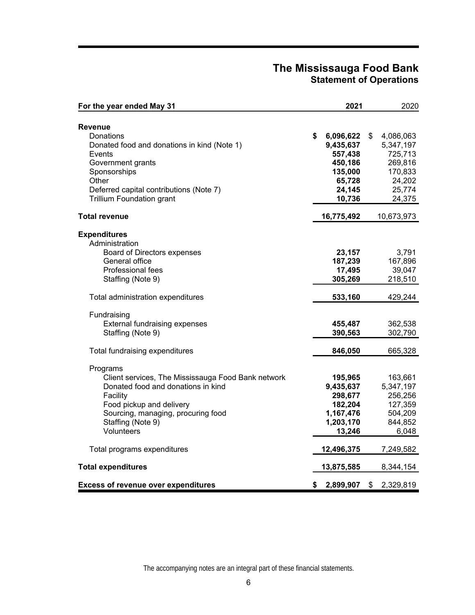# The Mississauga Food Bank<br>Statement of Operations

| For the year ended May 31                                                                                                                                                                                             | 2021                                                                                        | 2020                                                                                        |
|-----------------------------------------------------------------------------------------------------------------------------------------------------------------------------------------------------------------------|---------------------------------------------------------------------------------------------|---------------------------------------------------------------------------------------------|
| <b>Revenue</b><br>Donations<br>Donated food and donations in kind (Note 1)<br>Events<br>Government grants<br>Sponsorships<br>Other<br>Deferred capital contributions (Note 7)<br><b>Trillium Foundation grant</b>     | \$<br>6,096,622<br>9,435,637<br>557,438<br>450,186<br>135,000<br>65,728<br>24,145<br>10,736 | \$<br>4,086,063<br>5,347,197<br>725,713<br>269,816<br>170,833<br>24,202<br>25,774<br>24,375 |
| <b>Total revenue</b>                                                                                                                                                                                                  | 16,775,492                                                                                  | 10,673,973                                                                                  |
| <b>Expenditures</b><br>Administration<br>Board of Directors expenses<br>General office<br>Professional fees<br>Staffing (Note 9)                                                                                      | 23,157<br>187,239<br>17,495<br>305,269                                                      | 3,791<br>167,896<br>39,047<br>218,510                                                       |
| Total administration expenditures                                                                                                                                                                                     | 533,160                                                                                     | 429,244                                                                                     |
| Fundraising<br><b>External fundraising expenses</b><br>Staffing (Note 9)                                                                                                                                              | 455,487<br>390,563                                                                          | 362,538<br>302,790                                                                          |
| Total fundraising expenditures                                                                                                                                                                                        | 846,050                                                                                     | 665,328                                                                                     |
| Programs<br>Client services, The Mississauga Food Bank network<br>Donated food and donations in kind<br>Facility<br>Food pickup and delivery<br>Sourcing, managing, procuring food<br>Staffing (Note 9)<br>Volunteers | 195,965<br>9,435,637<br>298,677<br>182,204<br>1,167,476<br>1,203,170<br>13,246              | 163,661<br>5,347,197<br>256,256<br>127,359<br>504,209<br>844,852<br>6,048                   |
| Total programs expenditures                                                                                                                                                                                           | 12,496,375                                                                                  | 7,249,582                                                                                   |
| <b>Total expenditures</b>                                                                                                                                                                                             | 13,875,585                                                                                  | 8,344,154                                                                                   |
| <b>Excess of revenue over expenditures</b>                                                                                                                                                                            | \$<br>2,899,907                                                                             | \$<br>2,329,819                                                                             |

The accompanying notes are an integral part of these financial statements.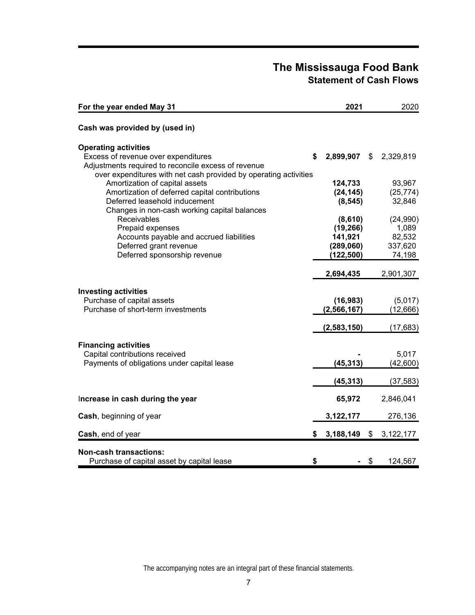## The Mississauga Food Bank **Statement of Cash Flows**

| For the year ended May 31                                                       | 2021               |               | 2020      |
|---------------------------------------------------------------------------------|--------------------|---------------|-----------|
| Cash was provided by (used in)                                                  |                    |               |           |
| <b>Operating activities</b>                                                     |                    |               |           |
| Excess of revenue over expenditures                                             | \$<br>2,899,907 \$ |               | 2,329,819 |
| Adjustments required to reconcile excess of revenue                             |                    |               |           |
| over expenditures with net cash provided by operating activities                |                    |               |           |
| Amortization of capital assets                                                  | 124,733            |               | 93,967    |
| Amortization of deferred capital contributions<br>Deferred leasehold inducement | (24, 145)          |               | (25, 774) |
| Changes in non-cash working capital balances                                    | (8, 545)           |               | 32,846    |
| Receivables                                                                     | (8,610)            |               | (24,990)  |
| Prepaid expenses                                                                | (19, 266)          |               | 1,089     |
| Accounts payable and accrued liabilities                                        | 141,921            |               | 82,532    |
| Deferred grant revenue                                                          | (289,060)          |               | 337,620   |
| Deferred sponsorship revenue                                                    | (122, 500)         |               | 74,198    |
|                                                                                 |                    |               |           |
|                                                                                 | 2,694,435          |               | 2,901,307 |
| <b>Investing activities</b>                                                     |                    |               |           |
| Purchase of capital assets                                                      | (16, 983)          |               | (5,017)   |
| Purchase of short-term investments                                              | (2, 566, 167)      |               | (12, 666) |
|                                                                                 |                    |               |           |
|                                                                                 | (2, 583, 150)      |               | (17, 683) |
| <b>Financing activities</b>                                                     |                    |               |           |
| Capital contributions received                                                  |                    |               | 5,017     |
| Payments of obligations under capital lease                                     | (45, 313)          |               | (42,600)  |
|                                                                                 | (45, 313)          |               | (37, 583) |
| Increase in cash during the year                                                | 65,972             |               | 2,846,041 |
| Cash, beginning of year                                                         | 3,122,177          |               | 276,136   |
|                                                                                 |                    |               |           |
| Cash, end of year                                                               | \$<br>3,188,149    | $\frac{1}{2}$ | 3,122,177 |
| <b>Non-cash transactions:</b>                                                   |                    |               |           |
| Purchase of capital asset by capital lease                                      | \$                 | \$            | 124,567   |

The accompanying notes are an integral part of these financial statements.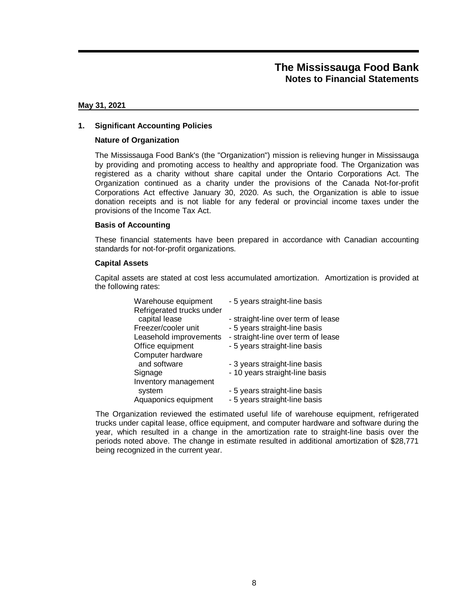#### May 31, 2021

#### 1. Significant Accounting Policies

#### **Nature of Organization**

The Mississauga Food Bank's (the "Organization") mission is relieving hunger in Mississauga by providing and promoting access to healthy and appropriate food. The Organization was registered as a charity without share capital under the Ontario Corporations Act. The Organization continued as a charity under the provisions of the Canada Not-for-profit Corporations Act effective January 30, 2020. As such, the Organization is able to issue donation receipts and is not liable for any federal or provincial income taxes under the provisions of the Income Tax Act.

#### **Basis of Accounting**

These financial statements have been prepared in accordance with Canadian accounting standards for not-for-profit organizations.

#### **Capital Assets**

Capital assets are stated at cost less accumulated amortization. Amortization is provided at the following rates:

| Warehouse equipment       | - 5 years straight-line basis      |
|---------------------------|------------------------------------|
| Refrigerated trucks under |                                    |
| capital lease             | - straight-line over term of lease |
| Freezer/cooler unit       | - 5 years straight-line basis      |
| Leasehold improvements    | - straight-line over term of lease |
| Office equipment          | - 5 years straight-line basis      |
| Computer hardware         |                                    |
| and software              | - 3 years straight-line basis      |
| Signage                   | - 10 years straight-line basis     |
| Inventory management      |                                    |
| system                    | - 5 years straight-line basis      |
| Aquaponics equipment      | - 5 years straight-line basis      |

The Organization reviewed the estimated useful life of warehouse equipment, refrigerated trucks under capital lease, office equipment, and computer hardware and software during the year, which resulted in a change in the amortization rate to straight-line basis over the periods noted above. The change in estimate resulted in additional amortization of \$28,771 being recognized in the current year.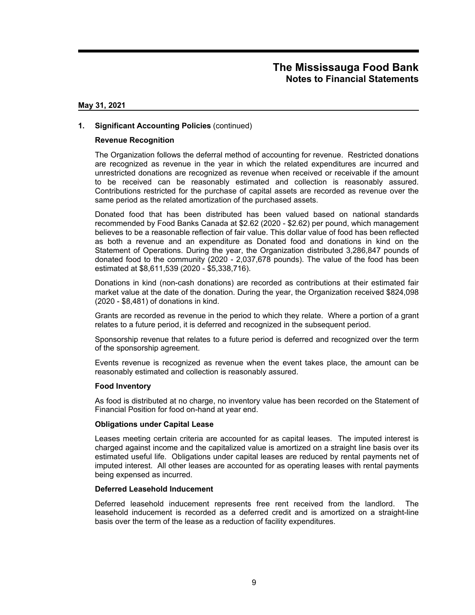#### May 31, 2021

#### 1. Significant Accounting Policies (continued)

#### **Revenue Recognition**

The Organization follows the deferral method of accounting for revenue. Restricted donations are recognized as revenue in the year in which the related expenditures are incurred and unrestricted donations are recognized as revenue when received or receivable if the amount to be received can be reasonably estimated and collection is reasonably assured. Contributions restricted for the purchase of capital assets are recorded as revenue over the same period as the related amortization of the purchased assets.

Donated food that has been distributed has been valued based on national standards recommended by Food Banks Canada at \$2.62 (2020 - \$2.62) per pound, which management believes to be a reasonable reflection of fair value. This dollar value of food has been reflected as both a revenue and an expenditure as Donated food and donations in kind on the Statement of Operations. During the year, the Organization distributed 3,286,847 pounds of donated food to the community (2020 - 2,037,678 pounds). The value of the food has been estimated at \$8,611,539 (2020 - \$5,338,716).

Donations in kind (non-cash donations) are recorded as contributions at their estimated fair market value at the date of the donation. During the year, the Organization received \$824,098 (2020 - \$8.481) of donations in kind.

Grants are recorded as revenue in the period to which they relate. Where a portion of a grant relates to a future period, it is deferred and recognized in the subsequent period.

Sponsorship revenue that relates to a future period is deferred and recognized over the term of the sponsorship agreement.

Events revenue is recognized as revenue when the event takes place, the amount can be reasonably estimated and collection is reasonably assured.

#### **Food Inventory**

As food is distributed at no charge, no inventory value has been recorded on the Statement of Financial Position for food on-hand at year end.

#### **Obligations under Capital Lease**

Leases meeting certain criteria are accounted for as capital leases. The imputed interest is charged against income and the capitalized value is amortized on a straight line basis over its estimated useful life. Obligations under capital leases are reduced by rental payments net of imputed interest. All other leases are accounted for as operating leases with rental payments being expensed as incurred.

#### Deferred Leasehold Inducement

Deferred leasehold inducement represents free rent received from the landlord. **The** leasehold inducement is recorded as a deferred credit and is amortized on a straight-line basis over the term of the lease as a reduction of facility expenditures.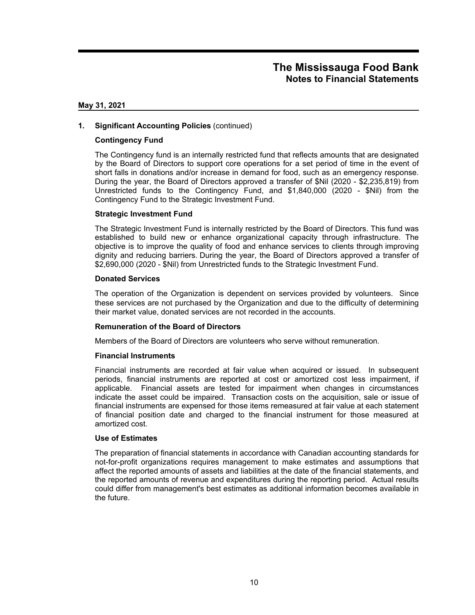#### May 31, 2021

#### 1. Significant Accounting Policies (continued)

#### **Contingency Fund**

The Contingency fund is an internally restricted fund that reflects amounts that are designated by the Board of Directors to support core operations for a set period of time in the event of short falls in donations and/or increase in demand for food, such as an emergency response. During the year, the Board of Directors approved a transfer of \$Nil (2020 - \$2,235,819) from Unrestricted funds to the Contingency Fund, and \$1,840,000 (2020 - \$Nil) from the Contingency Fund to the Strategic Investment Fund.

### **Strategic Investment Fund**

The Strategic Investment Fund is internally restricted by the Board of Directors. This fund was established to build new or enhance organizational capacity through infrastructure. The objective is to improve the quality of food and enhance services to clients through improving dignity and reducing barriers. During the year, the Board of Directors approved a transfer of \$2,690,000 (2020 - \$Nil) from Unrestricted funds to the Strategic Investment Fund.

#### **Donated Services**

The operation of the Organization is dependent on services provided by volunteers. Since these services are not purchased by the Organization and due to the difficulty of determining their market value, donated services are not recorded in the accounts.

#### **Remuneration of the Board of Directors**

Members of the Board of Directors are volunteers who serve without remuneration.

#### **Financial Instruments**

Financial instruments are recorded at fair value when acquired or issued. In subsequent periods, financial instruments are reported at cost or amortized cost less impairment, if applicable. Financial assets are tested for impairment when changes in circumstances indicate the asset could be impaired. Transaction costs on the acquisition, sale or issue of financial instruments are expensed for those items remeasured at fair value at each statement of financial position date and charged to the financial instrument for those measured at amortized cost.

#### **Use of Estimates**

The preparation of financial statements in accordance with Canadian accounting standards for not-for-profit organizations requires management to make estimates and assumptions that affect the reported amounts of assets and liabilities at the date of the financial statements, and the reported amounts of revenue and expenditures during the reporting period. Actual results could differ from management's best estimates as additional information becomes available in the future.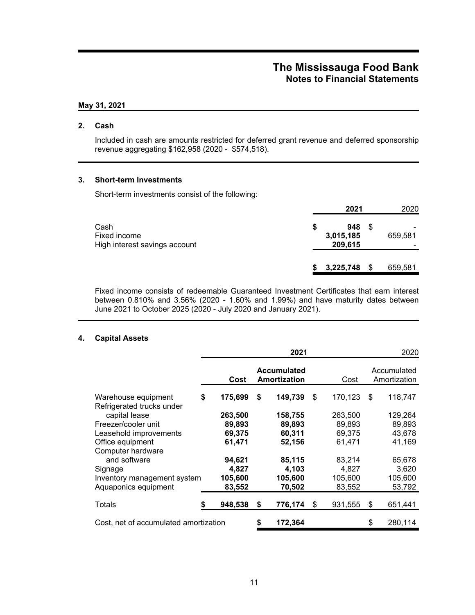#### May 31, 2021

#### 2. Cash

Included in cash are amounts restricted for deferred grant revenue and deferred sponsorship revenue aggregating \$162,958 (2020 - \$574,518).

### 3. Short-term Investments

Short-term investments consist of the following:

|                                                       | 2021                              | 2020                                     |
|-------------------------------------------------------|-----------------------------------|------------------------------------------|
| Cash<br>Fixed income<br>High interest savings account | \$<br>948<br>3,015,185<br>209,615 | $\overline{\phantom{0}}$<br>659,581<br>- |
|                                                       | 3,225,748                         | 659,581                                  |

Fixed income consists of redeemable Guaranteed Investment Certificates that earn interest between 0.810% and 3.56% (2020 - 1.60% and 1.99%) and have maturity dates between June 2021 to October 2025 (2020 - July 2020 and January 2021).

#### 4. Capital Assets

|                                                  |               | 2021                               |               | 2020                        |
|--------------------------------------------------|---------------|------------------------------------|---------------|-----------------------------|
|                                                  | Cost          | <b>Accumulated</b><br>Amortization | Cost          | Accumulated<br>Amortization |
| Warehouse equipment<br>Refrigerated trucks under | \$<br>175,699 | \$<br>149,739                      | \$<br>170,123 | \$<br>118,747               |
| capital lease                                    | 263,500       | 158,755                            | 263,500       | 129,264                     |
| Freezer/cooler unit                              | 89,893        | 89,893                             | 89,893        | 89,893                      |
| Leasehold improvements                           | 69,375        | 60,311                             | 69,375        | 43,678                      |
| Office equipment                                 | 61,471        | 52,156                             | 61,471        | 41,169                      |
| Computer hardware                                |               |                                    |               |                             |
| and software                                     | 94,621        | 85,115                             | 83,214        | 65,678                      |
| Signage                                          | 4,827         | 4,103                              | 4,827         | 3,620                       |
| Inventory management system                      | 105,600       | 105,600                            | 105,600       | 105,600                     |
| Aquaponics equipment                             | 83,552        | 70,502                             | 83,552        | 53,792                      |
| Totals                                           | 948,538       | \$<br>776,174                      | \$<br>931,555 | \$<br>651,441               |
| Cost, net of accumulated amortization            |               | \$<br>172,364                      |               | \$<br>280,114               |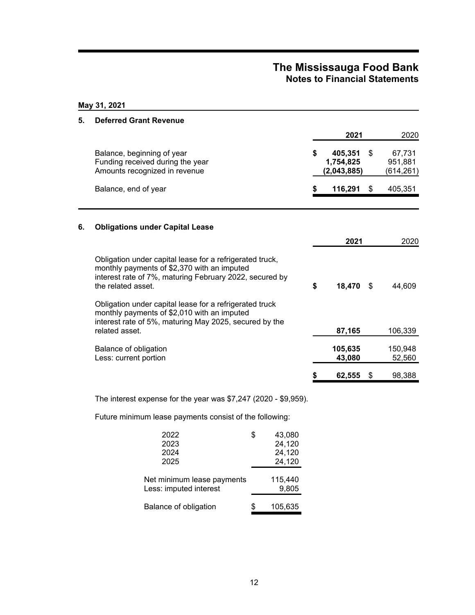|    | May 31, 2021                                                                                                                                                                             |    |                                     |                                       |
|----|------------------------------------------------------------------------------------------------------------------------------------------------------------------------------------------|----|-------------------------------------|---------------------------------------|
| 5. | <b>Deferred Grant Revenue</b>                                                                                                                                                            |    |                                     |                                       |
|    |                                                                                                                                                                                          |    | 2021                                | 2020                                  |
|    | Balance, beginning of year<br>Funding received during the year<br>Amounts recognized in revenue                                                                                          | \$ | 405,351<br>1,754,825<br>(2,043,885) | \$<br>67,731<br>951,881<br>(614, 261) |
|    | Balance, end of year                                                                                                                                                                     | S  | 116,291                             | \$<br>405,351                         |
| 6. | <b>Obligations under Capital Lease</b>                                                                                                                                                   |    |                                     |                                       |
|    |                                                                                                                                                                                          |    | 2021                                | 2020                                  |
|    | Obligation under capital lease for a refrigerated truck,<br>monthly payments of \$2,370 with an imputed<br>interest rate of 7%, maturing February 2022, secured by<br>the related asset. | \$ | 18,470                              | \$<br>44,609                          |
|    | Obligation under capital lease for a refrigerated truck<br>monthly payments of \$2,010 with an imputed<br>interest rate of 5%, maturing May 2025, secured by the<br>related asset.       |    | 87,165                              | 106,339                               |
|    | Balance of obligation                                                                                                                                                                    |    | 105,635                             | 150,948                               |
|    | Less: current portion                                                                                                                                                                    |    | 43,080                              | 52,560                                |
|    |                                                                                                                                                                                          |    | 62,555                              | \$<br>98,388                          |

The interest expense for the year was \$7,247 (2020 - \$9,959).

Future minimum lease payments consist of the following:

| 2022<br>2023<br>2024<br>2025                         | \$ | 43,080<br>24,120<br>24,120<br>24,120 |
|------------------------------------------------------|----|--------------------------------------|
| Net minimum lease payments<br>Less: imputed interest |    | 115,440<br>9,805                     |
| Balance of obligation                                | S  | 105.635                              |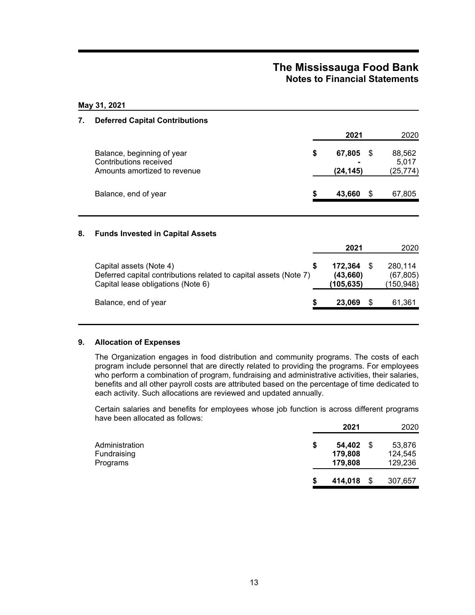### May 31, 2021

| 7. | <b>Deferred Capital Contributions</b>                                                |   |                    |    |                             |
|----|--------------------------------------------------------------------------------------|---|--------------------|----|-----------------------------|
|    |                                                                                      |   | 2021               |    | 2020                        |
|    | Balance, beginning of year<br>Contributions received<br>Amounts amortized to revenue | S | 67,805<br>(24,145) | S  | 88,562<br>5,017<br>(25,774) |
|    | Balance, end of year                                                                 | S | 43,660             | \$ | 67,805                      |

#### **Funds Invested in Capital Assets** 8.

|                                                                                                                                    | 2021                             | 2020                              |
|------------------------------------------------------------------------------------------------------------------------------------|----------------------------------|-----------------------------------|
| Capital assets (Note 4)<br>Deferred capital contributions related to capital assets (Note 7)<br>Capital lease obligations (Note 6) | 172.364<br>(43,660)<br>(105,635) | 280,114<br>(67, 805)<br>(150,948) |
| Balance, end of year                                                                                                               | 23.069                           | 61,361                            |

#### 9. **Allocation of Expenses**

The Organization engages in food distribution and community programs. The costs of each program include personnel that are directly related to providing the programs. For employees who perform a combination of program, fundraising and administrative activities, their salaries, benefits and all other payroll costs are attributed based on the percentage of time dedicated to each activity. Such allocations are reviewed and updated annually.

Certain salaries and benefits for employees whose job function is across different programs have been allocated as follows:  $2024$  $2020$ 

|                                           |    | 2021                            |      | 2020                         |
|-------------------------------------------|----|---------------------------------|------|------------------------------|
| Administration<br>Fundraising<br>Programs | S. | 54,402 \$<br>179,808<br>179,808 |      | 53,876<br>124.545<br>129,236 |
|                                           | S  | 414,018                         | - \$ | 307,657                      |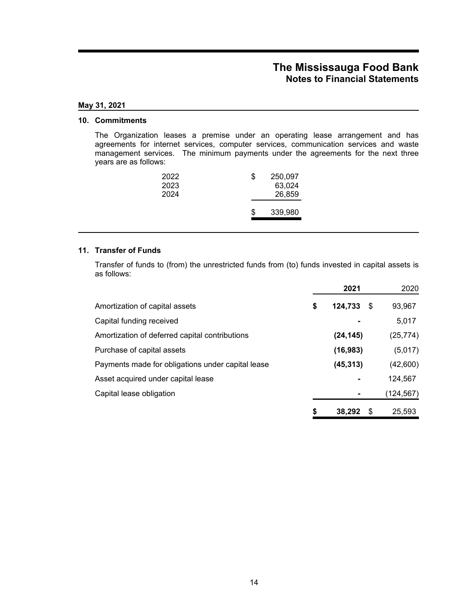### May 31, 2021

### 10. Commitments

The Organization leases a premise under an operating lease arrangement and has agreements for internet services, computer services, communication services and waste management services. The minimum payments under the agreements for the next three years are as follows:

| 2022<br>2023<br>2024 | \$<br>250,097<br>63,024<br>26,859 |  |
|----------------------|-----------------------------------|--|
|                      | \$<br>339,980                     |  |

#### 11. Transfer of Funds

Transfer of funds to (from) the unrestricted funds from (to) funds invested in capital assets is as follows:

|                                                   | 2021                  | 2020       |
|---------------------------------------------------|-----------------------|------------|
| Amortization of capital assets                    | \$<br>124,733<br>- \$ | 93,967     |
| Capital funding received                          |                       | 5,017      |
| Amortization of deferred capital contributions    | (24, 145)             | (25, 774)  |
| Purchase of capital assets                        | (16, 983)             | (5,017)    |
| Payments made for obligations under capital lease | (45, 313)             | (42,600)   |
| Asset acquired under capital lease                |                       | 124,567    |
| Capital lease obligation                          |                       | (124, 567) |
|                                                   | \$<br>38.292          | 25,593     |